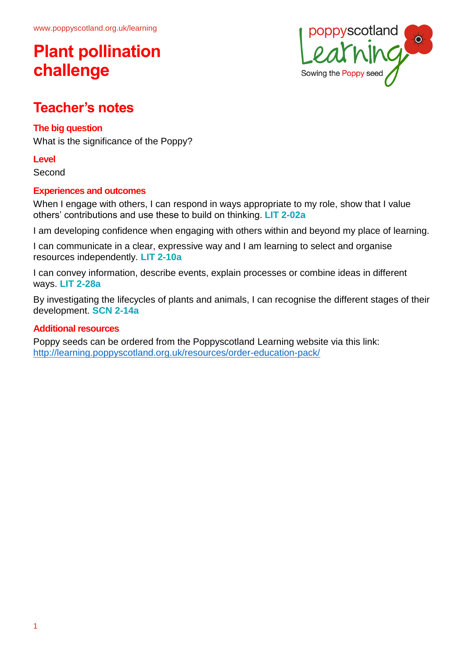# **Plant pollination challenge**



## **Teacher's notes**

### **The big question**

What is the significance of the Poppy?

### **Level**

Second

### **Experiences and outcomes**

When I engage with others, I can respond in ways appropriate to my role, show that I value others' contributions and use these to build on thinking. **LIT 2-02a**

I am developing confidence when engaging with others within and beyond my place of learning.

I can communicate in a clear, expressive way and I am learning to select and organise resources independently. **LIT 2-10a**

I can convey information, describe events, explain processes or combine ideas in different ways. **LIT 2-28a**

By investigating the lifecycles of plants and animals, I can recognise the different stages of their development. **SCN 2-14a**

#### **Additional resources**

Poppy seeds can be ordered from the Poppyscotland Learning website via this link: <http://learning.poppyscotland.org.uk/resources/order-education-pack/>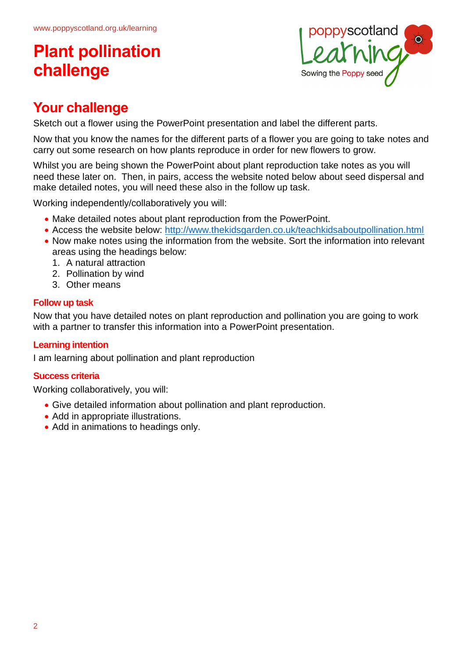# **Plant pollination challenge**



## **Your challenge**

Sketch out a flower using the PowerPoint presentation and label the different parts.

Now that you know the names for the different parts of a flower you are going to take notes and carry out some research on how plants reproduce in order for new flowers to grow.

Whilst you are being shown the PowerPoint about plant reproduction take notes as you will need these later on. Then, in pairs, access the website noted below about seed dispersal and make detailed notes, you will need these also in the follow up task.

Working independently/collaboratively you will:

- Make detailed notes about plant reproduction from the PowerPoint.
- Access the website below: <http://www.thekidsgarden.co.uk/teachkidsaboutpollination.html>
- Now make notes using the information from the website. Sort the information into relevant areas using the headings below:
	- 1. A natural attraction
	- 2. Pollination by wind
	- 3. Other means

#### **Follow up task**

Now that you have detailed notes on plant reproduction and pollination you are going to work with a partner to transfer this information into a PowerPoint presentation.

### **Learning intention**

I am learning about pollination and plant reproduction

#### **Success criteria**

Working collaboratively, you will:

- Give detailed information about pollination and plant reproduction.
- Add in appropriate illustrations.
- Add in animations to headings only.